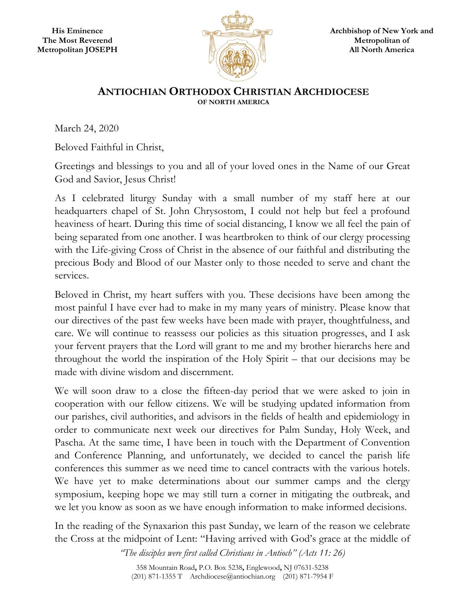

## **ANTIOCHIAN ORTHODOX CHRISTIAN ARCHDIOCESE OF NORTH AMERICA**

March 24, 2020

Beloved Faithful in Christ,

Greetings and blessings to you and all of your loved ones in the Name of our Great God and Savior, Jesus Christ!

As I celebrated liturgy Sunday with a small number of my staff here at our headquarters chapel of St. John Chrysostom, I could not help but feel a profound heaviness of heart. During this time of social distancing, I know we all feel the pain of being separated from one another. I was heartbroken to think of our clergy processing with the Life-giving Cross of Christ in the absence of our faithful and distributing the precious Body and Blood of our Master only to those needed to serve and chant the services.

Beloved in Christ, my heart suffers with you. These decisions have been among the most painful I have ever had to make in my many years of ministry. Please know that our directives of the past few weeks have been made with prayer, thoughtfulness, and care. We will continue to reassess our policies as this situation progresses, and I ask your fervent prayers that the Lord will grant to me and my brother hierarchs here and throughout the world the inspiration of the Holy Spirit – that our decisions may be made with divine wisdom and discernment.

We will soon draw to a close the fifteen-day period that we were asked to join in cooperation with our fellow citizens. We will be studying updated information from our parishes, civil authorities, and advisors in the fields of health and epidemiology in order to communicate next week our directives for Palm Sunday, Holy Week, and Pascha. At the same time, I have been in touch with the Department of Convention and Conference Planning, and unfortunately, we decided to cancel the parish life conferences this summer as we need time to cancel contracts with the various hotels. We have yet to make determinations about our summer camps and the clergy symposium, keeping hope we may still turn a corner in mitigating the outbreak, and we let you know as soon as we have enough information to make informed decisions.

In the reading of the Synaxarion this past Sunday, we learn of the reason we celebrate the Cross at the midpoint of Lent: "Having arrived with God's grace at the middle of

*"The disciples were first called Christians in Antioch" (Acts 11: 26)* 

358 Mountain Road**,** P.O. Box 5238**,** Englewood**,** NJ 07631-5238 (201) 871-1355 T Archdiocese@antiochian.org (201) 871-7954 F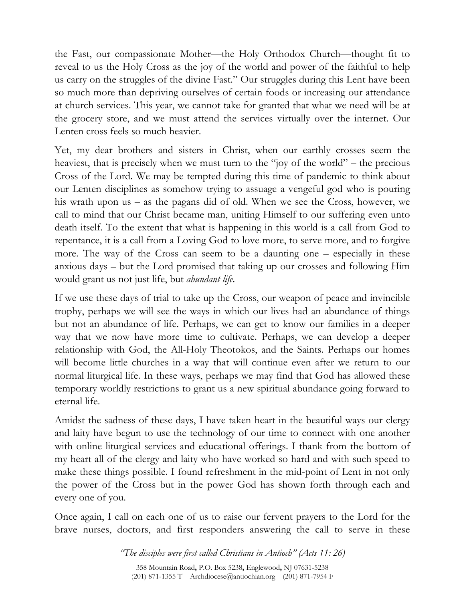the Fast, our compassionate Mother—the Holy Orthodox Church—thought fit to reveal to us the Holy Cross as the joy of the world and power of the faithful to help us carry on the struggles of the divine Fast." Our struggles during this Lent have been so much more than depriving ourselves of certain foods or increasing our attendance at church services. This year, we cannot take for granted that what we need will be at the grocery store, and we must attend the services virtually over the internet. Our Lenten cross feels so much heavier.

Yet, my dear brothers and sisters in Christ, when our earthly crosses seem the heaviest, that is precisely when we must turn to the "joy of the world" – the precious Cross of the Lord. We may be tempted during this time of pandemic to think about our Lenten disciplines as somehow trying to assuage a vengeful god who is pouring his wrath upon us – as the pagans did of old. When we see the Cross, however, we call to mind that our Christ became man, uniting Himself to our suffering even unto death itself. To the extent that what is happening in this world is a call from God to repentance, it is a call from a Loving God to love more, to serve more, and to forgive more. The way of the Cross can seem to be a daunting one – especially in these anxious days – but the Lord promised that taking up our crosses and following Him would grant us not just life, but *abundant life*.

If we use these days of trial to take up the Cross, our weapon of peace and invincible trophy, perhaps we will see the ways in which our lives had an abundance of things but not an abundance of life. Perhaps, we can get to know our families in a deeper way that we now have more time to cultivate. Perhaps, we can develop a deeper relationship with God, the All-Holy Theotokos, and the Saints. Perhaps our homes will become little churches in a way that will continue even after we return to our normal liturgical life. In these ways, perhaps we may find that God has allowed these temporary worldly restrictions to grant us a new spiritual abundance going forward to eternal life.

Amidst the sadness of these days, I have taken heart in the beautiful ways our clergy and laity have begun to use the technology of our time to connect with one another with online liturgical services and educational offerings. I thank from the bottom of my heart all of the clergy and laity who have worked so hard and with such speed to make these things possible. I found refreshment in the mid-point of Lent in not only the power of the Cross but in the power God has shown forth through each and every one of you.

Once again, I call on each one of us to raise our fervent prayers to the Lord for the brave nurses, doctors, and first responders answering the call to serve in these

> *"The disciples were first called Christians in Antioch" (Acts 11: 26)*  358 Mountain Road**,** P.O. Box 5238**,** Englewood**,** NJ 07631-5238 (201) 871-1355 T Archdiocese@antiochian.org (201) 871-7954 F